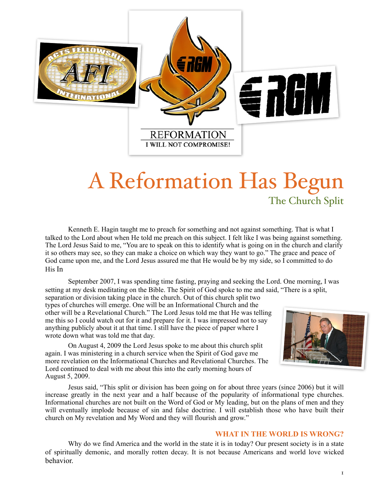

# A Reformation Has Begun The Church Split

Kenneth E. Hagin taught me to preach for something and not against something. That is what I talked to the Lord about when He told me preach on this subject. I felt like I was being against something. The Lord Jesus Said to me, "You are to speak on this to identify what is going on in the church and clarify it so others may see, so they can make a choice on which way they want to go." The grace and peace of God came upon me, and the Lord Jesus assured me that He would be by my side, so I committed to do His In

September 2007, I was spending time fasting, praying and seeking the Lord. One morning, I was setting at my desk meditating on the Bible. The Spirit of God spoke to me and said, "There is a split,

separation or division taking place in the church. Out of this church split two types of churches will emerge. One will be an Informational Church and the other will be a Revelational Church." The Lord Jesus told me that He was telling me this so I could watch out for it and prepare for it. I was impressed not to say anything publicly about it at that time. I still have the piece of paper where I wrote down what was told me that day.

 On August 4, 2009 the Lord Jesus spoke to me about this church split again. I was ministering in a church service when the Spirit of God gave me more revelation on the Informational Churches and Revelational Churches. The Lord continued to deal with me about this into the early morning hours of August 5, 2009.



Jesus said, "This split or division has been going on for about three years (since 2006) but it will increase greatly in the next year and a half because of the popularity of informational type churches. Informational churches are not built on the Word of God or My leading, but on the plans of men and they will eventually implode because of sin and false doctrine. I will establish those who have built their church on My revelation and My Word and they will flourish and grow."

# **WHAT IN THE WORLD IS WRONG?**

Why do we find America and the world in the state it is in today? Our present society is in a state of spiritually demonic, and morally rotten decay. It is not because Americans and world love wicked behavior.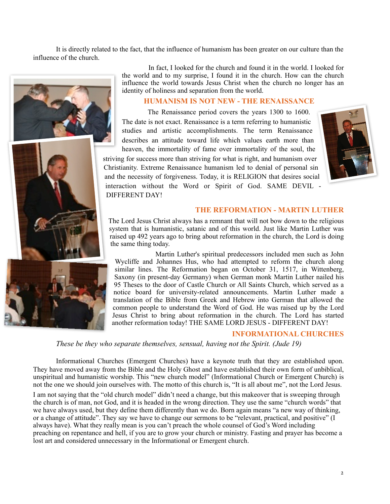It is directly related to the fact, that the influence of humanism has been greater on our culture than the influence of the church.





# **HUMANISM IS NOT NEW - THE RENAISSANCE**

The Renaissance period covers the years 1300 to 1600. The date is not exact. Renaissance is a term referring to humanistic studies and artistic accomplishments. The term Renaissance describes an attitude toward life which values earth more than heaven, the immortality of fame over immortality of the soul, the

striving for success more than striving for what is right, and humanism over Christianity. Extreme Renaissance humanism led to denial of personal sin and the necessity of forgiveness. Today, it is RELIGION that desires social interaction without the Word or Spirit of God. SAME DEVIL - DIFFERENT DAY!



# **THE REFORMATION - MARTIN LUTHER**

The Lord Jesus Christ always has a remnant that will not bow down to the religious system that is humanistic, satanic and of this world. Just like Martin Luther was raised up 492 years ago to bring about reformation in the church, the Lord is doing the same thing today.

 Martin Luther's spiritual predecessors included men such as John Wycliffe and Johannes Hus, who had attempted to reform the church along similar lines. The Reformation began on October 31, 1517, in Wittenberg, Saxony (in present-day Germany) when German monk Martin Luther nailed his 95 Theses to the door of Castle Church or All Saints Church, which served as a notice board for university-related announcements. Martin Luther made a translation of the Bible from Greek and Hebrew into German that allowed the common people to understand the Word of God. He was raised up by the Lord Jesus Christ to bring about reformation in the church. The Lord has started another reformation today! THE SAME LORD JESUS - DIFFERENT DAY!

#### **INFORMATIONAL CHURCHES**

*These be they who separate themselves, sensual, having not the Spirit. (Jude 19)*

Informational Churches (Emergent Churches) have a keynote truth that they are established upon. They have moved away from the Bible and the Holy Ghost and have established their own form of unbiblical, unspiritual and humanistic worship. This "new church model" (Informational Church or Emergent Church) is not the one we should join ourselves with. The motto of this church is, "It is all about me", not the Lord Jesus.

I am not saying that the "old church model" didn't need a change, but this makeover that is sweeping through the church is of man, not God, and it is headed in the wrong direction. They use the same "church words" that we have always used, but they define them differently than we do. Born again means "a new way of thinking, or a change of attitude". They say we have to change our sermons to be "relevant, practical, and positive" (I always have). What they really mean is you can't preach the whole counsel of God's Word including preaching on repentance and hell, if you are to grow your church or ministry. Fasting and prayer has become a lost art and considered unnecessary in the Informational or Emergent church.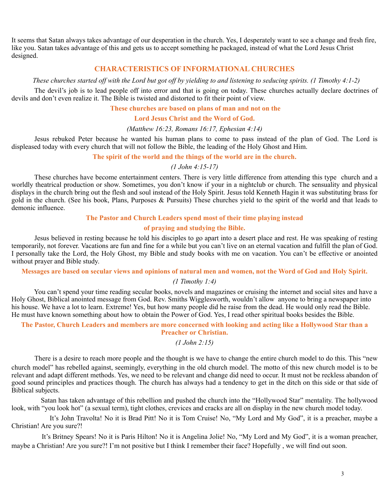It seems that Satan always takes advantage of our desperation in the church. Yes, I desperately want to see a change and fresh fire, like you. Satan takes advantage of this and gets us to accept something he packaged, instead of what the Lord Jesus Christ designed.

# **CHARACTERISTICS OF INFORMATIONAL CHURCHES**

*These churches started off with the Lord but got off by yielding to and listening to seducing spirits. (1 Timothy 4:1-2)*

 The devil's job is to lead people off into error and that is going on today. These churches actually declare doctrines of devils and don't even realize it. The Bible is twisted and distorted to fit their point of view.

 **These churches are based on plans of man and not on the** 

**Lord Jesus Christ and the Word of God.**

*(Matthew 16:23, Romans 16:17, Ephesian 4:14)*

 Jesus rebuked Peter because he wanted his human plans to come to pass instead of the plan of God. The Lord is displeased today with every church that will not follow the Bible, the leading of the Holy Ghost and Him.

# **The spirit of the world and the things of the world are in the church.**

*(1 John 4:15-17)*

 These churches have become entertainment centers. There is very little difference from attending this type church and a worldly theatrical production or show. Sometimes, you don't know if your in a nightclub or church. The sensuality and physical displays in the church bring out the flesh and soul instead of the Holy Spirit. Jesus told Kenneth Hagin it was substituting brass for gold in the church. (See his book, Plans, Purposes & Pursuits) These churches yield to the spirit of the world and that leads to demonic influence.

## **The Pastor and Church Leaders spend most of their time playing instead**

# **of praying and studying the Bible.**

 Jesus believed in resting because he told his disciples to go apart into a desert place and rest. He was speaking of resting temporarily, not forever. Vacations are fun and fine for a while but you can't live on an eternal vacation and fulfill the plan of God. I personally take the Lord, the Holy Ghost, my Bible and study books with me on vacation. You can't be effective or anointed without prayer and Bible study.

**Messages are based on secular views and opinions of natural men and women, not the Word of God and Holy Spirit.**

#### *(1 Timothy 1:4)*

 You can't spend your time reading secular books, novels and magazines or cruising the internet and social sites and have a Holy Ghost, Biblical anointed message from God. Rev. Smiths Wigglesworth, wouldn't allow anyone to bring a newspaper into his house. We have a lot to learn. Extreme! Yes, but how many people did he raise from the dead. He would only read the Bible. He must have known something about how to obtain the Power of God. Yes, I read other spiritual books besides the Bible.

# **The Pastor, Church Leaders and members are more concerned with looking and acting like a Hollywood Star than a Preacher or Christian.**

*(1 John 2:15)*

There is a desire to reach more people and the thought is we have to change the entire church model to do this. This "new church model" has rebelled against, seemingly, everything in the old church model. The motto of this new church model is to be relevant and adapt different methods. Yes, we need to be relevant and change did need to occur. It must not be reckless abandon of good sound principles and practices though. The church has always had a tendency to get in the ditch on this side or that side of Biblical subjects.

 Satan has taken advantage of this rebellion and pushed the church into the "Hollywood Star" mentality. The hollywood look, with "you look hot" (a sexual term), tight clothes, crevices and cracks are all on display in the new church model today.

 It's John Travolta! No it is Brad Pitt! No it is Tom Cruise! No, "My Lord and My God", it is a preacher, maybe a Christian! Are you sure?!

 It's Britney Spears! No it is Paris Hilton! No it is Angelina Jolie! No, "My Lord and My God", it is a woman preacher, maybe a Christian! Are you sure?! I'm not positive but I think I remember their face? Hopefully , we will find out soon.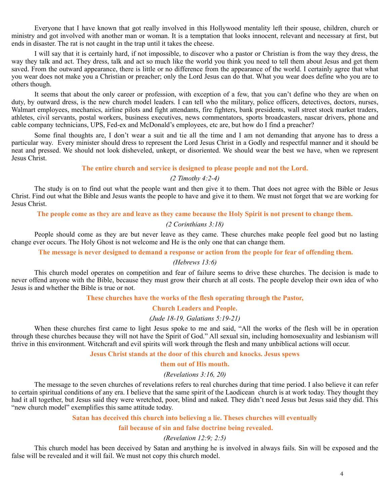Everyone that I have known that got really involved in this Hollywood mentality left their spouse, children, church or ministry and got involved with another man or woman. It is a temptation that looks innocent, relevant and necessary at first, but ends in disaster. The rat is not caught in the trap until it takes the cheese.

 I will say that it is certainly hard, if not impossible, to discover who a pastor or Christian is from the way they dress, the way they talk and act. They dress, talk and act so much like the world you think you need to tell them about Jesus and get them saved. From the outward appearance, there is little or no difference from the appearance of the world. I certainly agree that what you wear does not make you a Christian or preacher; only the Lord Jesus can do that. What you wear does define who you are to others though.

 It seems that about the only career or profession, with exception of a few, that you can't define who they are when on duty, by outward dress, is the new church model leaders. I can tell who the military, police officers, detectives, doctors, nurses, Walmart employees, mechanics, airline pilots and fight attendants, fire fighters, bank presidents, wall street stock market traders, athletes, civil servants, postal workers, business executives, news commentators, sports broadcasters, nascar drivers, phone and cable company technicians, UPS, Fed-ex and McDonald's employees, etc are, but how do I find a preacher?

 Some final thoughts are, I don't wear a suit and tie all the time and I am not demanding that anyone has to dress a particular way. Every minister should dress to represent the Lord Jesus Christ in a Godly and respectful manner and it should be neat and pressed. We should not look disheveled, unkept, or disoriented. We should wear the best we have, when we represent Jesus Christ.

# **The entire church and service is designed to please people and not the Lord.**

# *(2 Timothy 4:2-4)*

 The study is on to find out what the people want and then give it to them. That does not agree with the Bible or Jesus Christ. Find out what the Bible and Jesus wants the people to have and give it to them. We must not forget that we are working for Jesus Christ.

**The people come as they are and leave as they came because the Holy Spirit is not present to change them.**

# *(2 Corinthians 3:18)*

 People should come as they are but never leave as they came. These churches make people feel good but no lasting change ever occurs. The Holy Ghost is not welcome and He is the only one that can change them.

 **The message is never designed to demand a response or action from the people for fear of offending them.**

# *(Hebrews 13:6)*

 This church model operates on competition and fear of failure seems to drive these churches. The decision is made to never offend anyone with the Bible, because they must grow their church at all costs. The people develop their own idea of who Jesus is and whether the Bible is true or not.

**These churches have the works of the flesh operating through the Pastor,**

# **Church Leaders and People.**

# *(Jude 18-19, Galatians 5:19-21)*

 When these churches first came to light Jesus spoke to me and said, "All the works of the flesh will be in operation through these churches because they will not have the Spirit of God." All sexual sin, including homosexuality and lesbianism will thrive in this environment. Witchcraft and evil spirits will work through the flesh and many unbiblical actions will occur.

# **Jesus Christ stands at the door of this church and knocks. Jesus spews**

# **them out of His mouth.**

#### *(Revelations 3:16, 20)*

 The message to the seven churches of revelations refers to real churches during that time period. I also believe it can refer to certain spiritual conditions of any era. I believe that the same spirit of the Laodicean church is at work today. They thought they had it all together, but Jesus said they were wretched, poor, blind and naked. They didn't need Jesus but Jesus said they did. This "new church model" exemplifies this same attitude today.

#### **Satan has deceived this church into believing a lie. Theses churches will eventually**

 **fail because of sin and false doctrine being revealed.**

# *(Revelation 12:9; 2:5)*

 This church model has been deceived by Satan and anything he is involved in always fails. Sin will be exposed and the false will be revealed and it will fail. We must not copy this church model.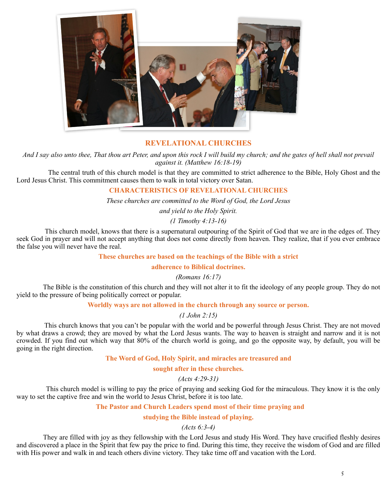

# **REVELATIONAL CHURCHES**

*And I say also unto thee, That thou art Peter, and upon this rock I will build my church; and the gates of hell shall not prevail against it. (Matthew 16:18-19)*

 The central truth of this church model is that they are committed to strict adherence to the Bible, Holy Ghost and the Lord Jesus Christ. This commitment causes them to walk in total victory over Satan.

# **CHARACTERISTICS OF REVELATIONAL CHURCHES**

*These churches are committed to the Word of God, the Lord Jesus* 

*and yield to the Holy Spirit.*

*(1 Timothy 4:13-16)*

 This church model, knows that there is a supernatural outpouring of the Spirit of God that we are in the edges of. They seek God in prayer and will not accept anything that does not come directly from heaven. They realize, that if you ever embrace the false you will never have the real.

# **These churches are based on the teachings of the Bible with a strict**

**adherence to Biblical doctrines.**

# *(Romans 16:17)*

The Bible is the constitution of this church and they will not alter it to fit the ideology of any people group. They do not yield to the pressure of being politically correct or popular.

## **Worldly ways are not allowed in the church through any source or person.**

*(1 John 2:15)*

 This church knows that you can't be popular with the world and be powerful through Jesus Christ. They are not moved by what draws a crowd; they are moved by what the Lord Jesus wants. The way to heaven is straight and narrow and it is not crowded. If you find out which way that 80% of the church world is going, and go the opposite way, by default, you will be going in the right direction.

## **The Word of God, Holy Spirit, and miracles are treasured and**

#### **sought after in these churches.**

# *(Acts 4:29-31)*

 This church model is willing to pay the price of praying and seeking God for the miraculous. They know it is the only way to set the captive free and win the world to Jesus Christ, before it is too late.

## **The Pastor and Church Leaders spend most of their time praying and**

#### **studying the Bible instead of playing.**

# *(Acts 6:3-4)*

They are filled with joy as they fellowship with the Lord Jesus and study His Word. They have crucified fleshly desires and discovered a place in the Spirit that few pay the price to find. During this time, they receive the wisdom of God and are filled with His power and walk in and teach others divine victory. They take time off and vacation with the Lord.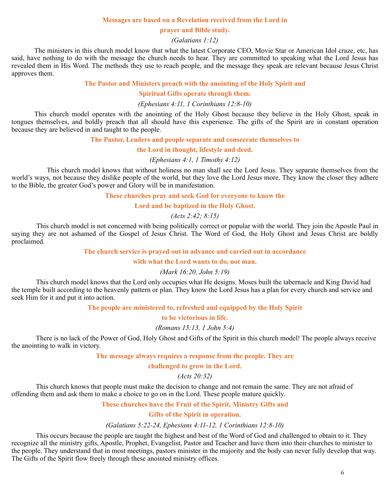#### **Messages are based on a Revelation received from the Lord in**

#### **prayer and Bible study.**

*(Galatians 1:12)*

 The ministers in this church model know that what the latest Corporate CEO, Movie Star or American Idol craze, etc, has said, have nothing to do with the message the church needs to hear. They are committed to speaking what the Lord Jesus has revealed them in His Word. The methods they use to reach people, and the message they speak are relevant because Jesus Christ approves them.

# **The Pastor and Ministers preach with the anointing of the Holy Spirit and**

#### **Spiritual Gifts operate through them.**

#### *(Ephesians 4:11, 1 Corinthians 12:8-10)*

 This church model operates with the anointing of the Holy Ghost because they believe in the Holy Ghost, speak in tongues themselves, and boldly preach that all should have this experience. The gifts of the Spirit are in constant operation because they are believed in and taught to the people.

**The Pastor, Leaders and people separate and consecrate themselves to**

**the Lord in thought, lifestyle and deed.**

#### *(Ephesians 4:1, 1 Timothy 4:12)*

 This church model knows that without holiness no man shall see the Lord Jesus. They separate themselves from the world's ways, not because they dislike people of the world, but they love the Lord Jesus more. They know the closer they adhere to the Bible, the greater God's power and Glory will be in manifestation.

#### **These churches pray and seek God for everyone to know the**

#### **Lord and be baptized in the Holy Ghost.**

#### *(Acts 2:42; 8:15)*

 This church model is not concerned with being politically correct or popular with the world. They join the Apostle Paul in saying they are not ashamed of the Gospel of Jesus Christ. The Word of God, the Holy Ghost and Jesus Christ are boldly proclaimed.

# **The church service is prayed out in advance and carried out in accordance**

#### **with what the Lord wants to do, not man.**

## *(Mark 16:20, John 5:19)*

 This church model knows that the Lord only occupies what He designs. Moses built the tabernacle and King David had the temple built according to the heavenly pattern or plan. They know the Lord Jesus has a plan for every church and service and seek Him for it and put it into action.

# **The people are ministered to, refreshed and equipped by the Holy Spirit**

**to be victorious in life.**

*(Romans 15:13, 1 John 5:4)*

 There is no lack of the Power of God, Holy Ghost and Gifts of the Spirit in this church model! The people always receive the anointing to walk in victory.

# **The message always requires a response from the people. They are**

#### **challenged to grow in the Lord.**

# *(Acts 20:32)*

 This church knows that people must make the decision to change and not remain the same. They are not afraid of offending them and ask them to make a choice to go on in the Lord. These people mature quickly.

#### **These churches have the Fruit of the Spirit, Ministry Gifts and**

#### **Gifts of the Spirit in operation.**

#### *(Galatians 5:22-24, Ephesians 4:11-12, 1 Corinthians 12:8-10)*

 This occurs because the people are taught the highest and best of the Word of God and challenged to obtain to it. They recognize all the ministry gifts, Apostle, Prophet, Evangelist, Pastor and Teacher and have them into their churches to minister to the people. They understand that in most meetings, pastors minister in the majority and the body can never fully develop that way. The Gifts of the Spirit flow freely through these anointed ministry offices.